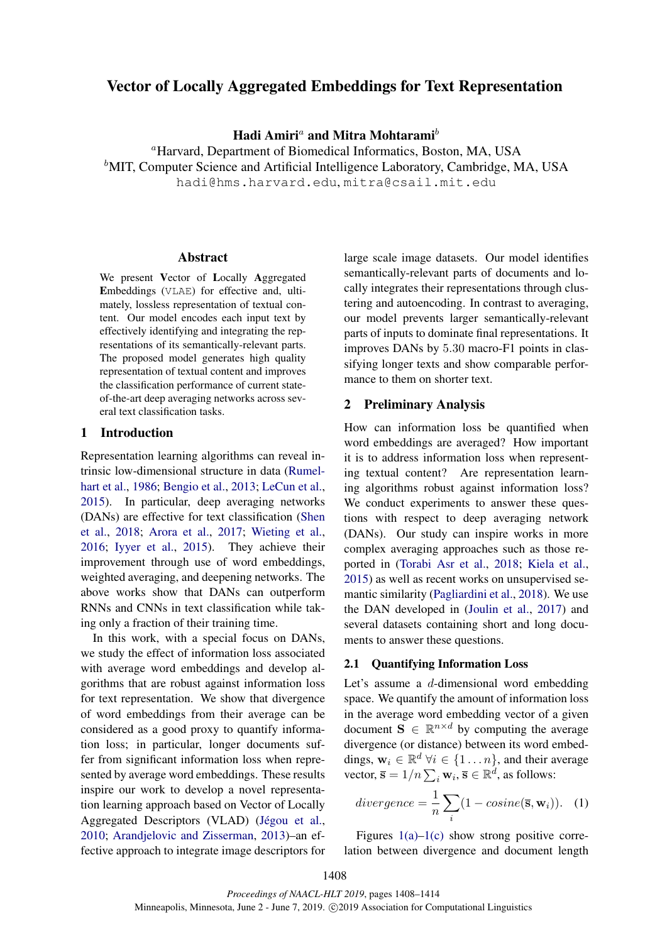# Vector of Locally Aggregated Embeddings for Text Representation

Hadi Amiri<sup>a</sup> and Mitra Mohtarami<sup>b</sup>

<sup>a</sup>Harvard, Department of Biomedical Informatics, Boston, MA, USA  ${}^b$ MIT, Computer Science and Artificial Intelligence Laboratory, Cambridge, MA, USA hadi@hms.harvard.edu, mitra@csail.mit.edu

#### Abstract

We present Vector of Locally Aggregated Embeddings (VLAE) for effective and, ultimately, lossless representation of textual content. Our model encodes each input text by effectively identifying and integrating the representations of its semantically-relevant parts. The proposed model generates high quality representation of textual content and improves the classification performance of current stateof-the-art deep averaging networks across several text classification tasks.

## 1 Introduction

Representation learning algorithms can reveal intrinsic low-dimensional structure in data (Rumelhart et al., 1986; Bengio et al., 2013; LeCun et al., 2015). In particular, deep averaging networks (DANs) are effective for text classification (Shen et al., 2018; Arora et al., 2017; Wieting et al., 2016; Iyyer et al., 2015). They achieve their improvement through use of word embeddings, weighted averaging, and deepening networks. The above works show that DANs can outperform RNNs and CNNs in text classification while taking only a fraction of their training time.

In this work, with a special focus on DANs, we study the effect of information loss associated with average word embeddings and develop algorithms that are robust against information loss for text representation. We show that divergence of word embeddings from their average can be considered as a good proxy to quantify information loss; in particular, longer documents suffer from significant information loss when represented by average word embeddings. These results inspire our work to develop a novel representation learning approach based on Vector of Locally Aggregated Descriptors (VLAD) (Jégou et al., 2010; Arandjelovic and Zisserman, 2013)–an effective approach to integrate image descriptors for

large scale image datasets. Our model identifies semantically-relevant parts of documents and locally integrates their representations through clustering and autoencoding. In contrast to averaging, our model prevents larger semantically-relevant parts of inputs to dominate final representations. It improves DANs by 5.30 macro-F1 points in classifying longer texts and show comparable performance to them on shorter text.

## 2 Preliminary Analysis

How can information loss be quantified when word embeddings are averaged? How important it is to address information loss when representing textual content? Are representation learning algorithms robust against information loss? We conduct experiments to answer these questions with respect to deep averaging network (DANs). Our study can inspire works in more complex averaging approaches such as those reported in (Torabi Asr et al., 2018; Kiela et al., 2015) as well as recent works on unsupervised semantic similarity (Pagliardini et al., 2018). We use the DAN developed in (Joulin et al., 2017) and several datasets containing short and long documents to answer these questions.

### 2.1 Quantifying Information Loss

Let's assume a d-dimensional word embedding space. We quantify the amount of information loss in the average word embedding vector of a given document  $S \in \mathbb{R}^{n \times d}$  by computing the average divergence (or distance) between its word embeddings,  $\mathbf{w}_i \in \mathbb{R}^d$   $\forall i \in \{1 \dots n\}$ , and their average vector,  $\overline{\mathbf{s}} = 1/n \sum_i \mathbf{w}_i, \overline{\mathbf{s}} \in \mathbb{R}^d$ , as follows:

divergence 
$$
=\frac{1}{n}\sum_{i}(1-cosine(\overline{\mathbf{s}}, \mathbf{w}_i)).
$$
 (1)

Figures  $1(a)-1(c)$  show strong positive correlation between divergence and document length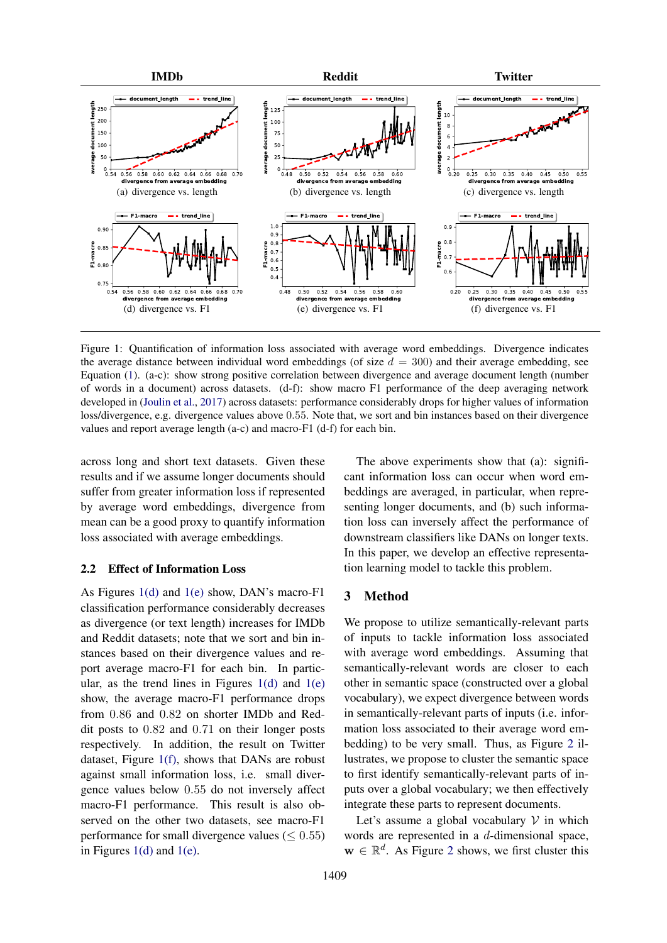

Figure 1: Quantification of information loss associated with average word embeddings. Divergence indicates the average distance between individual word embeddings (of size  $d = 300$ ) and their average embedding, see Equation (1). (a-c): show strong positive correlation between divergence and average document length (number of words in a document) across datasets. (d-f): show macro F1 performance of the deep averaging network developed in (Joulin et al., 2017) across datasets: performance considerably drops for higher values of information loss/divergence, e.g. divergence values above 0.55. Note that, we sort and bin instances based on their divergence values and report average length (a-c) and macro-F1 (d-f) for each bin.

across long and short text datasets. Given these results and if we assume longer documents should suffer from greater information loss if represented by average word embeddings, divergence from mean can be a good proxy to quantify information loss associated with average embeddings.

# 2.2 Effect of Information Loss

As Figures 1(d) and 1(e) show, DAN's macro-F1 classification performance considerably decreases as divergence (or text length) increases for IMDb and Reddit datasets; note that we sort and bin instances based on their divergence values and report average macro-F1 for each bin. In particular, as the trend lines in Figures  $1(d)$  and  $1(e)$ show, the average macro-F1 performance drops from 0.86 and 0.82 on shorter IMDb and Reddit posts to 0.82 and 0.71 on their longer posts respectively. In addition, the result on Twitter dataset, Figure 1(f), shows that DANs are robust against small information loss, i.e. small divergence values below 0.55 do not inversely affect macro-F1 performance. This result is also observed on the other two datasets, see macro-F1 performance for small divergence values ( $\leq 0.55$ ) in Figures  $1(d)$  and  $1(e)$ .

The above experiments show that (a): significant information loss can occur when word embeddings are averaged, in particular, when representing longer documents, and (b) such information loss can inversely affect the performance of downstream classifiers like DANs on longer texts. In this paper, we develop an effective representation learning model to tackle this problem.

# 3 Method

We propose to utilize semantically-relevant parts of inputs to tackle information loss associated with average word embeddings. Assuming that semantically-relevant words are closer to each other in semantic space (constructed over a global vocabulary), we expect divergence between words in semantically-relevant parts of inputs (i.e. information loss associated to their average word embedding) to be very small. Thus, as Figure 2 illustrates, we propose to cluster the semantic space to first identify semantically-relevant parts of inputs over a global vocabulary; we then effectively integrate these parts to represent documents.

Let's assume a global vocabulary  $V$  in which words are represented in a d-dimensional space,  $\mathbf{w} \in \mathbb{R}^d$ . As Figure 2 shows, we first cluster this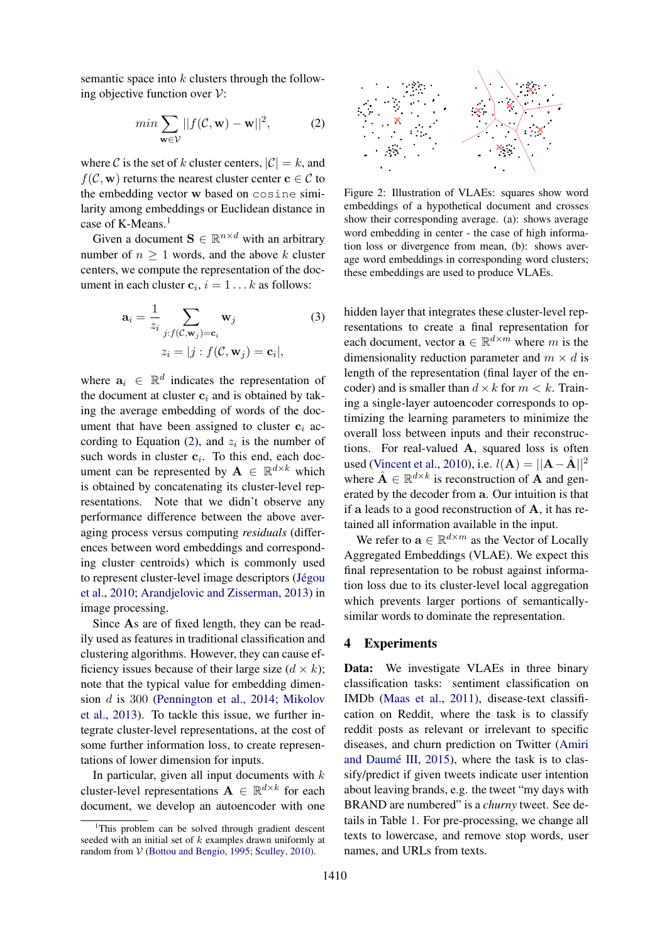semantic space into  $k$  clusters through the following objective function over  $V$ :

$$
min \sum_{\mathbf{w} \in \mathcal{V}} ||f(\mathcal{C}, \mathbf{w}) - \mathbf{w}||^2,
$$
 (2)

where C is the set of k cluster centers,  $|\mathcal{C}| = k$ , and  $f(\mathcal{C}, \mathbf{w})$  returns the nearest cluster center  $\mathbf{c} \in \mathcal{C}$  to the embedding vector w based on cosine similarity among embeddings or Euclidean distance in case of K-Means.<sup>1</sup>

Given a document  $\mathbf{S} \in \mathbb{R}^{n \times d}$  with an arbitrary number of  $n \geq 1$  words, and the above k cluster centers, we compute the representation of the document in each cluster  $c_i$ ,  $i = 1...k$  as follows:

$$
\mathbf{a}_{i} = \frac{1}{z_{i}} \sum_{j:f(\mathcal{C}, \mathbf{w}_{j}) = \mathbf{c}_{i}} \mathbf{w}_{j}
$$
(3)  

$$
z_{i} = |j:f(\mathcal{C}, \mathbf{w}_{j}) = \mathbf{c}_{i}|,
$$

where  $a_i \in \mathbb{R}^d$  indicates the representation of the document at cluster  $c_i$  and is obtained by taking the average embedding of words of the document that have been assigned to cluster  $c_i$  according to Equation (2), and  $z_i$  is the number of such words in cluster  $c_i$ . To this end, each document can be represented by  $A \in \mathbb{R}^{d \times k}$  which is obtained by concatenating its cluster-level representations. Note that we didn't observe any performance difference between the above averaging process versus computing *residuals* (differences between word embeddings and corresponding cluster centroids) which is commonly used to represent cluster-level image descriptors (Jégou et al., 2010; Arandjelovic and Zisserman, 2013) in image processing.

Since As are of fixed length, they can be readily used as features in traditional classification and clustering algorithms. However, they can cause efficiency issues because of their large size  $(d \times k)$ ; note that the typical value for embedding dimension d is 300 (Pennington et al., 2014; Mikolov et al., 2013). To tackle this issue, we further integrate cluster-level representations, at the cost of some further information loss, to create representations of lower dimension for inputs.

In particular, given all input documents with  $k$ cluster-level representations  $\mathbf{A} \in \mathbb{R}^{d \times k}$  for each document, we develop an autoencoder with one



Figure 2: Illustration of VLAEs: squares show word embeddings of a hypothetical document and crosses show their corresponding average. (a): shows average word embedding in center - the case of high information loss or divergence from mean, (b): shows average word embeddings in corresponding word clusters; these embeddings are used to produce VLAEs.

hidden layer that integrates these cluster-level representations to create a final representation for each document, vector  $\mathbf{a} \in \mathbb{R}^{d \times m}$  where m is the dimensionality reduction parameter and  $m \times d$  is length of the representation (final layer of the encoder) and is smaller than  $d \times k$  for  $m < k$ . Training a single-layer autoencoder corresponds to optimizing the learning parameters to minimize the overall loss between inputs and their reconstructions. For real-valued A, squared loss is often used (Vincent et al., 2010), i.e.  $l(\mathbf{A}) = ||\mathbf{A} - \hat{\mathbf{A}}||^2$ where  $\hat{\mathbf{A}} \in \mathbb{R}^{d \times k}$  is reconstruction of **A** and generated by the decoder from a. Our intuition is that if a leads to a good reconstruction of  $A$ , it has retained all information available in the input.

We refer to  $\mathbf{a} \in \mathbb{R}^{d \times m}$  as the Vector of Locally Aggregated Embeddings (VLAE). We expect this final representation to be robust against information loss due to its cluster-level local aggregation which prevents larger portions of semanticallysimilar words to dominate the representation.

#### 4 Experiments

Data: We investigate VLAEs in three binary classification tasks: sentiment classification on IMDb (Maas et al., 2011), disease-text classification on Reddit, where the task is to classify reddit posts as relevant or irrelevant to specific diseases, and churn prediction on Twitter (Amiri and Daumé III,  $2015$ ), where the task is to classify/predict if given tweets indicate user intention about leaving brands, e.g. the tweet "my days with BRAND are numbered" is a *churny* tweet. See details in Table 1. For pre-processing, we change all texts to lowercase, and remove stop words, user names, and URLs from texts.

<sup>&</sup>lt;sup>1</sup>This problem can be solved through gradient descent seeded with an initial set of  $k$  examples drawn uniformly at random from V (Bottou and Bengio, 1995; Sculley, 2010).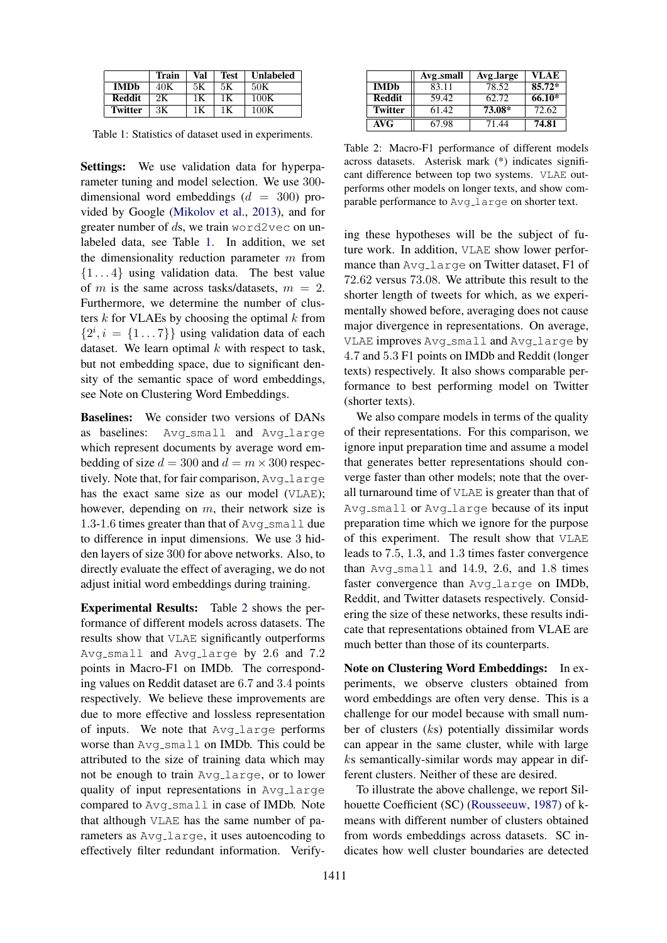|                | Train | Val | <b>Test</b> | Unlabeled |
|----------------|-------|-----|-------------|-----------|
| <b>IMDb</b>    | 40K   | 5К  | 5К          | 50K       |
| <b>Reddit</b>  |       | 1Κ  | 1 K         | 100K      |
| <b>Twitter</b> | ЗK    | 1Κ  | 1 K         | 100K      |

Table 1: Statistics of dataset used in experiments.

Settings: We use validation data for hyperparameter tuning and model selection. We use 300 dimensional word embeddings  $(d = 300)$  provided by Google (Mikolov et al., 2013), and for greater number of ds, we train word2vec on unlabeled data, see Table 1. In addition, we set the dimensionality reduction parameter  $m$  from  $\{1 \dots 4\}$  using validation data. The best value of m is the same across tasks/datasets,  $m = 2$ . Furthermore, we determine the number of clusters  $k$  for VLAEs by choosing the optimal  $k$  from  $\{2^i, i = \{1 \dots 7\}\}\$  using validation data of each dataset. We learn optimal  $k$  with respect to task, but not embedding space, due to significant density of the semantic space of word embeddings, see Note on Clustering Word Embeddings.

Baselines: We consider two versions of DANs as baselines: Avg\_small and Avg\_large which represent documents by average word embedding of size  $d = 300$  and  $d = m \times 300$  respectively. Note that, for fair comparison, Avg\_large has the exact same size as our model (VLAE); however, depending on m, their network size is 1.3-1.6 times greater than that of  $Avg\_small$  due to difference in input dimensions. We use 3 hidden layers of size 300 for above networks. Also, to directly evaluate the effect of averaging, we do not adjust initial word embeddings during training.

Experimental Results: Table 2 shows the performance of different models across datasets. The results show that VLAE significantly outperforms Avg\_small and Avg\_large by 2.6 and 7.2 points in Macro-F1 on IMDb. The corresponding values on Reddit dataset are 6.7 and 3.4 points respectively. We believe these improvements are due to more effective and lossless representation of inputs. We note that Avg\_large performs worse than  $Avg\_small$  on IMDb. This could be attributed to the size of training data which may not be enough to train Avg large, or to lower quality of input representations in Avg<sub>-large</sub> compared to Avg\_small in case of IMDb. Note that although VLAE has the same number of parameters as  $Avg\_{large}$ , it uses autoencoding to effectively filter redundant information. Verify-

|                | Avg_small | Avg_large | <b>VLAE</b> |
|----------------|-----------|-----------|-------------|
| <b>IMDb</b>    | 83.11     | 78.52     | $85.72*$    |
| Reddit         | 59.42     | 62.72     | 66.10*      |
| <b>Twitter</b> | 61.42     | 73.08*    | 72.62       |
| AVG            | 67.98     | 71.44     | 74.81       |

Table 2: Macro-F1 performance of different models across datasets. Asterisk mark (\*) indicates significant difference between top two systems. VLAE outperforms other models on longer texts, and show comparable performance to Avg<sub>-large</sub> on shorter text.

ing these hypotheses will be the subject of future work. In addition, VLAE show lower performance than Avg large on Twitter dataset, F1 of 72.62 versus 73.08. We attribute this result to the shorter length of tweets for which, as we experimentally showed before, averaging does not cause major divergence in representations. On average, VLAE improves Avg\_small and Avg\_large by 4.7 and 5.3 F1 points on IMDb and Reddit (longer texts) respectively. It also shows comparable performance to best performing model on Twitter (shorter texts).

We also compare models in terms of the quality of their representations. For this comparison, we ignore input preparation time and assume a model that generates better representations should converge faster than other models; note that the overall turnaround time of VLAE is greater than that of Avg small or Avg large because of its input preparation time which we ignore for the purpose of this experiment. The result show that VLAE leads to 7.5, 1.3, and 1.3 times faster convergence than  $Avg\_small$  and  $14.9, 2.6,$  and  $1.8$  times faster convergence than Avg<sub>-large</sub> on IMDb, Reddit, and Twitter datasets respectively. Considering the size of these networks, these results indicate that representations obtained from VLAE are much better than those of its counterparts.

Note on Clustering Word Embeddings: In experiments, we observe clusters obtained from word embeddings are often very dense. This is a challenge for our model because with small number of clusters (ks) potentially dissimilar words can appear in the same cluster, while with large ks semantically-similar words may appear in different clusters. Neither of these are desired.

To illustrate the above challenge, we report Silhouette Coefficient (SC) (Rousseeuw, 1987) of kmeans with different number of clusters obtained from words embeddings across datasets. SC indicates how well cluster boundaries are detected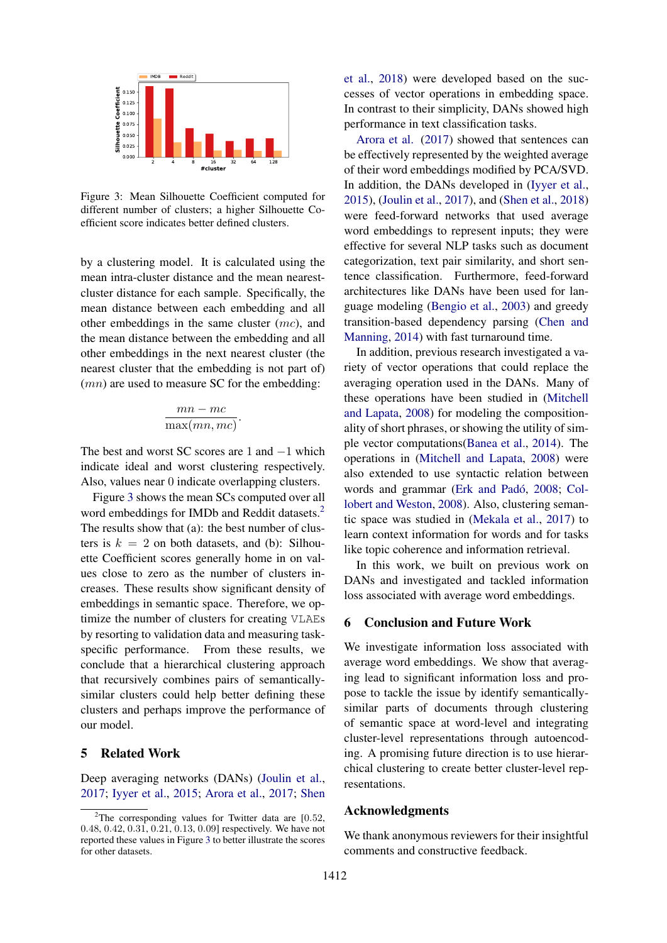

Figure 3: Mean Silhouette Coefficient computed for different number of clusters; a higher Silhouette Coefficient score indicates better defined clusters.

by a clustering model. It is calculated using the mean intra-cluster distance and the mean nearestcluster distance for each sample. Specifically, the mean distance between each embedding and all other embeddings in the same cluster (mc), and the mean distance between the embedding and all other embeddings in the next nearest cluster (the nearest cluster that the embedding is not part of)  $(mn)$  are used to measure SC for the embedding:

$$
\frac{mn-mc}{\max(mn, mc)}
$$

.

The best and worst SC scores are 1 and  $-1$  which indicate ideal and worst clustering respectively. Also, values near 0 indicate overlapping clusters.

Figure 3 shows the mean SCs computed over all word embeddings for IMDb and Reddit datasets.<sup>2</sup> The results show that (a): the best number of clusters is  $k = 2$  on both datasets, and (b): Silhouette Coefficient scores generally home in on values close to zero as the number of clusters increases. These results show significant density of embeddings in semantic space. Therefore, we optimize the number of clusters for creating VLAEs by resorting to validation data and measuring taskspecific performance. From these results, we conclude that a hierarchical clustering approach that recursively combines pairs of semanticallysimilar clusters could help better defining these clusters and perhaps improve the performance of our model.

### 5 Related Work

Deep averaging networks (DANs) (Joulin et al., 2017; Iyyer et al., 2015; Arora et al., 2017; Shen et al., 2018) were developed based on the successes of vector operations in embedding space. In contrast to their simplicity, DANs showed high performance in text classification tasks.

Arora et al. (2017) showed that sentences can be effectively represented by the weighted average of their word embeddings modified by PCA/SVD. In addition, the DANs developed in (Iyyer et al., 2015), (Joulin et al., 2017), and (Shen et al., 2018) were feed-forward networks that used average word embeddings to represent inputs; they were effective for several NLP tasks such as document categorization, text pair similarity, and short sentence classification. Furthermore, feed-forward architectures like DANs have been used for language modeling (Bengio et al., 2003) and greedy transition-based dependency parsing (Chen and Manning, 2014) with fast turnaround time.

In addition, previous research investigated a variety of vector operations that could replace the averaging operation used in the DANs. Many of these operations have been studied in (Mitchell and Lapata, 2008) for modeling the compositionality of short phrases, or showing the utility of simple vector computations(Banea et al., 2014). The operations in (Mitchell and Lapata, 2008) were also extended to use syntactic relation between words and grammar (Erk and Padó, 2008; Collobert and Weston, 2008). Also, clustering semantic space was studied in (Mekala et al., 2017) to learn context information for words and for tasks like topic coherence and information retrieval.

In this work, we built on previous work on DANs and investigated and tackled information loss associated with average word embeddings.

# 6 Conclusion and Future Work

We investigate information loss associated with average word embeddings. We show that averaging lead to significant information loss and propose to tackle the issue by identify semanticallysimilar parts of documents through clustering of semantic space at word-level and integrating cluster-level representations through autoencoding. A promising future direction is to use hierarchical clustering to create better cluster-level representations.

### Acknowledgments

We thank anonymous reviewers for their insightful comments and constructive feedback.

<sup>&</sup>lt;sup>2</sup>The corresponding values for Twitter data are  $[0.52,$ 0.48, 0.42, 0.31, 0.21, 0.13, 0.09] respectively. We have not reported these values in Figure 3 to better illustrate the scores for other datasets.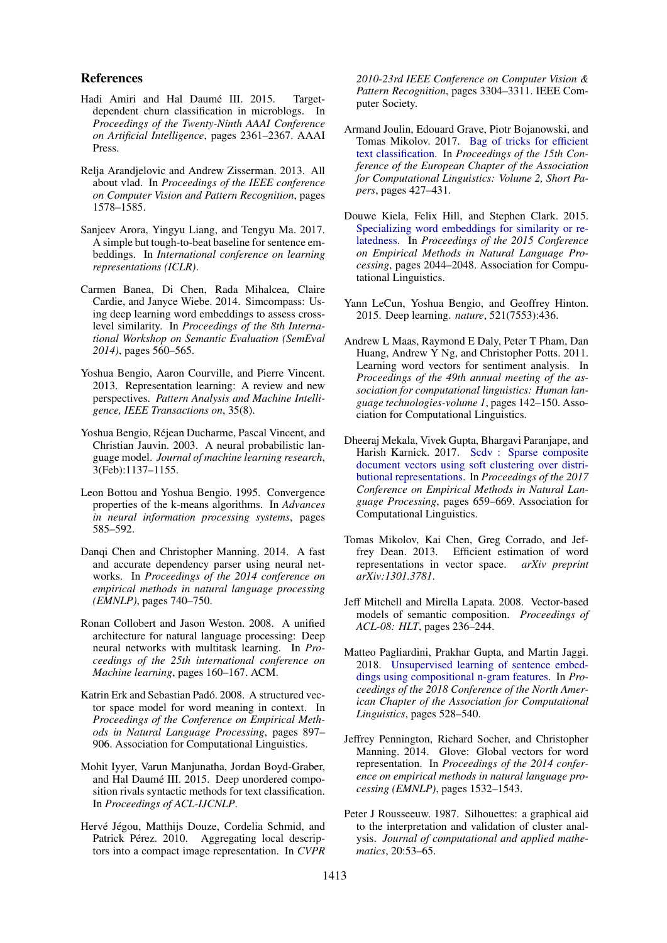#### References

- Hadi Amiri and Hal Daumé III. 2015. Targetdependent churn classification in microblogs. In *Proceedings of the Twenty-Ninth AAAI Conference on Artificial Intelligence*, pages 2361–2367. AAAI Press.
- Relja Arandjelovic and Andrew Zisserman. 2013. All about vlad. In *Proceedings of the IEEE conference on Computer Vision and Pattern Recognition*, pages 1578–1585.
- Sanjeev Arora, Yingyu Liang, and Tengyu Ma. 2017. A simple but tough-to-beat baseline for sentence embeddings. In *International conference on learning representations (ICLR)*.
- Carmen Banea, Di Chen, Rada Mihalcea, Claire Cardie, and Janyce Wiebe. 2014. Simcompass: Using deep learning word embeddings to assess crosslevel similarity. In *Proceedings of the 8th International Workshop on Semantic Evaluation (SemEval 2014)*, pages 560–565.
- Yoshua Bengio, Aaron Courville, and Pierre Vincent. 2013. Representation learning: A review and new perspectives. *Pattern Analysis and Machine Intelligence, IEEE Transactions on*, 35(8).
- Yoshua Bengio, Rejean Ducharme, Pascal Vincent, and ´ Christian Jauvin. 2003. A neural probabilistic language model. *Journal of machine learning research*, 3(Feb):1137–1155.
- Leon Bottou and Yoshua Bengio. 1995. Convergence properties of the k-means algorithms. In *Advances in neural information processing systems*, pages 585–592.
- Danqi Chen and Christopher Manning. 2014. A fast and accurate dependency parser using neural networks. In *Proceedings of the 2014 conference on empirical methods in natural language processing (EMNLP)*, pages 740–750.
- Ronan Collobert and Jason Weston. 2008. A unified architecture for natural language processing: Deep neural networks with multitask learning. In *Proceedings of the 25th international conference on Machine learning*, pages 160–167. ACM.
- Katrin Erk and Sebastian Padó. 2008. A structured vector space model for word meaning in context. In *Proceedings of the Conference on Empirical Methods in Natural Language Processing*, pages 897– 906. Association for Computational Linguistics.
- Mohit Iyyer, Varun Manjunatha, Jordan Boyd-Graber, and Hal Daumé III. 2015. Deep unordered composition rivals syntactic methods for text classification. In *Proceedings of ACL-IJCNLP*.
- Hervé Jégou, Matthijs Douze, Cordelia Schmid, and Patrick Pérez. 2010. Aggregating local descriptors into a compact image representation. In *CVPR*

*2010-23rd IEEE Conference on Computer Vision & Pattern Recognition*, pages 3304–3311. IEEE Computer Society.

- Armand Joulin, Edouard Grave, Piotr Bojanowski, and Tomas Mikolov. 2017. Bag of tricks for efficient text classification. In *Proceedings of the 15th Conference of the European Chapter of the Association for Computational Linguistics: Volume 2, Short Papers*, pages 427–431.
- Douwe Kiela, Felix Hill, and Stephen Clark. 2015. Specializing word embeddings for similarity or relatedness. In *Proceedings of the 2015 Conference on Empirical Methods in Natural Language Processing*, pages 2044–2048. Association for Computational Linguistics.
- Yann LeCun, Yoshua Bengio, and Geoffrey Hinton. 2015. Deep learning. *nature*, 521(7553):436.
- Andrew L Maas, Raymond E Daly, Peter T Pham, Dan Huang, Andrew Y Ng, and Christopher Potts. 2011. Learning word vectors for sentiment analysis. In *Proceedings of the 49th annual meeting of the association for computational linguistics: Human language technologies-volume 1*, pages 142–150. Association for Computational Linguistics.
- Dheeraj Mekala, Vivek Gupta, Bhargavi Paranjape, and Harish Karnick. 2017. Scdv : Sparse composite document vectors using soft clustering over distributional representations. In *Proceedings of the 2017 Conference on Empirical Methods in Natural Language Processing*, pages 659–669. Association for Computational Linguistics.
- Tomas Mikolov, Kai Chen, Greg Corrado, and Jeffrey Dean. 2013. Efficient estimation of word representations in vector space. *arXiv preprint arXiv:1301.3781*.
- Jeff Mitchell and Mirella Lapata. 2008. Vector-based models of semantic composition. *Proceedings of ACL-08: HLT*, pages 236–244.
- Matteo Pagliardini, Prakhar Gupta, and Martin Jaggi. 2018. Unsupervised learning of sentence embeddings using compositional n-gram features. In *Proceedings of the 2018 Conference of the North American Chapter of the Association for Computational Linguistics*, pages 528–540.
- Jeffrey Pennington, Richard Socher, and Christopher Manning. 2014. Glove: Global vectors for word representation. In *Proceedings of the 2014 conference on empirical methods in natural language processing (EMNLP)*, pages 1532–1543.
- Peter J Rousseeuw. 1987. Silhouettes: a graphical aid to the interpretation and validation of cluster analysis. *Journal of computational and applied mathematics*, 20:53–65.